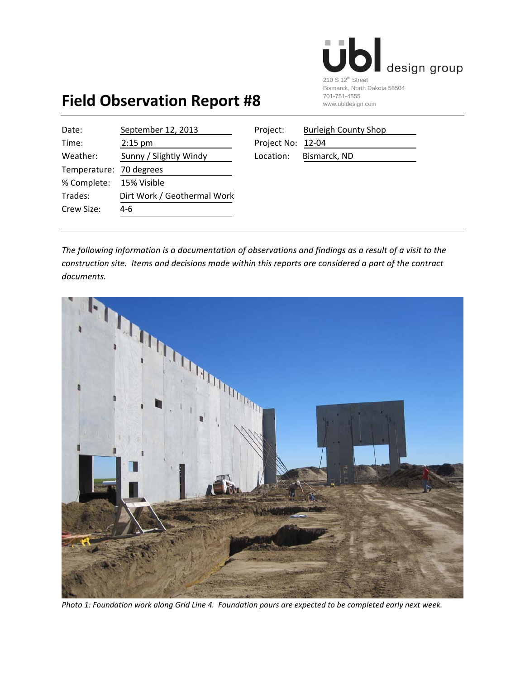

## **Field Observation Report #8**

| Date:                   | September 12, 2013          | Project:          | <b>Burleigh County Shop</b> |
|-------------------------|-----------------------------|-------------------|-----------------------------|
| Time:                   | $2:15$ pm                   | Project No: 12-04 |                             |
| Weather:                | Sunny / Slightly Windy      | Location:         | Bismarck, ND                |
| Temperature: 70 degrees |                             |                   |                             |
| % Complete:             | 15% Visible                 |                   |                             |
| Trades:                 | Dirt Work / Geothermal Work |                   |                             |
| Crew Size:              | 4-6                         |                   |                             |
|                         |                             |                   |                             |

| Project:          | <b>Burleigh County Shop</b> |
|-------------------|-----------------------------|
| Project No: 12-04 |                             |
| Location:         | Bismarck, ND                |

The following information is a documentation of observations and findings as a result of a visit to the *construction site. Items and decisions made within this reports are considered a part of the contract*  $documents.$ 



Photo 1: Foundation work along Grid Line 4. Foundation pours are expected to be completed early next week.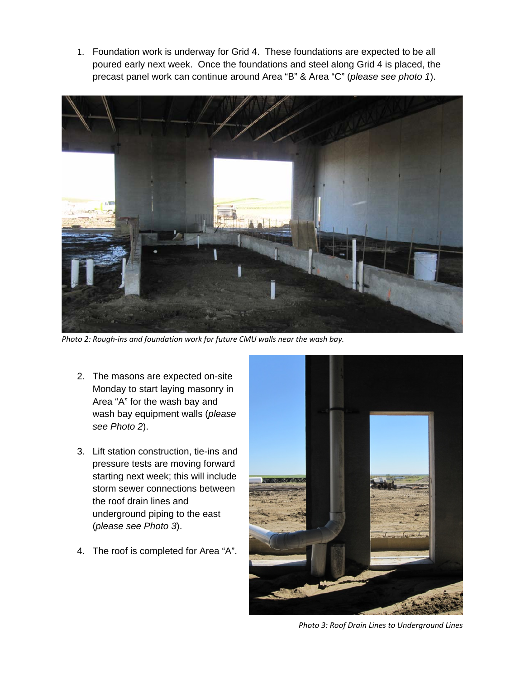1. Foundation work is underway for Grid 4. These foundations are expected to be all poured early next week. Once the foundations and steel along Grid 4 is placed, the precast panel work can continue around Area "B" & Area "C" (*please see photo 1*).



*Photo 2: Rough‐ins and foundation work for future CMU walls near the wash bay.*

- 2. The masons are expected on-site Monday to start laying masonry in Area "A" for the wash bay and wash bay equipment walls (*please see Photo 2*).
- 3. Lift station construction, tie-ins and pressure tests are moving forward starting next week; this will include storm sewer connections between the roof drain lines and underground piping to the east (*please see Photo 3*).
- 4. The roof is completed for Area "A".



*Photo 3: Roof Drain Lines to Underground Lines*